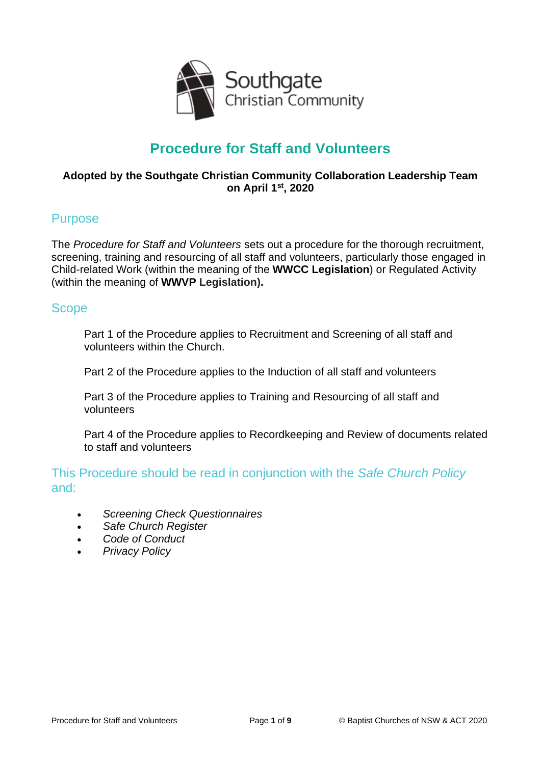

# **Procedure for Staff and Volunteers**

#### **Adopted by the Southgate Christian Community Collaboration Leadership Team on April 1st, 2020**

## Purpose

The *Procedure for Staff and Volunteers* sets out a procedure for the thorough recruitment, screening, training and resourcing of all staff and volunteers, particularly those engaged in Child-related Work (within the meaning of the **WWCC Legislation**) or Regulated Activity (within the meaning of **WWVP Legislation).**

#### Scope

Part 1 of the Procedure applies to Recruitment and Screening of all staff and volunteers within the Church.

Part 2 of the Procedure applies to the Induction of all staff and volunteers

Part 3 of the Procedure applies to Training and Resourcing of all staff and volunteers

Part 4 of the Procedure applies to Recordkeeping and Review of documents related to staff and volunteers

This Procedure should be read in conjunction with the *Safe Church Policy* and:

- *Screening Check Questionnaires*
- *Safe Church Register*
- *Code of Conduct*
- *Privacy Policy*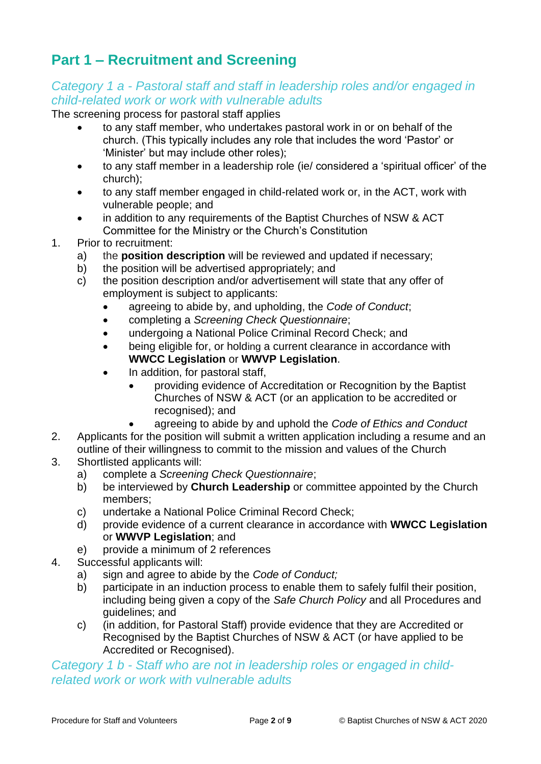# **Part 1 – Recruitment and Screening**

### *Category 1 a - Pastoral staff and staff in leadership roles and/or engaged in child-related work or work with vulnerable adults*

The screening process for pastoral staff applies

- to any staff member, who undertakes pastoral work in or on behalf of the church. (This typically includes any role that includes the word 'Pastor' or 'Minister' but may include other roles);
- to any staff member in a leadership role (ie/ considered a 'spiritual officer' of the church);
- to any staff member engaged in child-related work or, in the ACT, work with vulnerable people; and
- in addition to any requirements of the Baptist Churches of NSW & ACT Committee for the Ministry or the Church's Constitution
- 1. Prior to recruitment:
	- a) the **position description** will be reviewed and updated if necessary;
	- b) the position will be advertised appropriately; and
	- c) the position description and/or advertisement will state that any offer of employment is subject to applicants:
		- agreeing to abide by, and upholding, the *Code of Conduct*;
		- completing a *Screening Check Questionnaire*;
		- undergoing a National Police Criminal Record Check; and
		- being eligible for, or holding a current clearance in accordance with **WWCC Legislation** or **WWVP Legislation**.
		- In addition, for pastoral staff,
			- providing evidence of Accreditation or Recognition by the Baptist Churches of NSW & ACT (or an application to be accredited or recognised); and
				- agreeing to abide by and uphold the *Code of Ethics and Conduct*
- 2. Applicants for the position will submit a written application including a resume and an outline of their willingness to commit to the mission and values of the Church
- 3. Shortlisted applicants will:
	- a) complete a *Screening Check Questionnaire*;
	- b) be interviewed by **Church Leadership** or committee appointed by the Church members;
	- c) undertake a National Police Criminal Record Check;
	- d) provide evidence of a current clearance in accordance with **WWCC Legislation** or **WWVP Legislation**; and
	- e) provide a minimum of 2 references
- 4. Successful applicants will:
	- a) sign and agree to abide by the *Code of Conduct;*
	- b) participate in an induction process to enable them to safely fulfil their position, including being given a copy of the *Safe Church Policy* and all Procedures and guidelines; and
	- c) (in addition, for Pastoral Staff) provide evidence that they are Accredited or Recognised by the Baptist Churches of NSW & ACT (or have applied to be Accredited or Recognised).

## *Category 1 b - Staff who are not in leadership roles or engaged in childrelated work or work with vulnerable adults*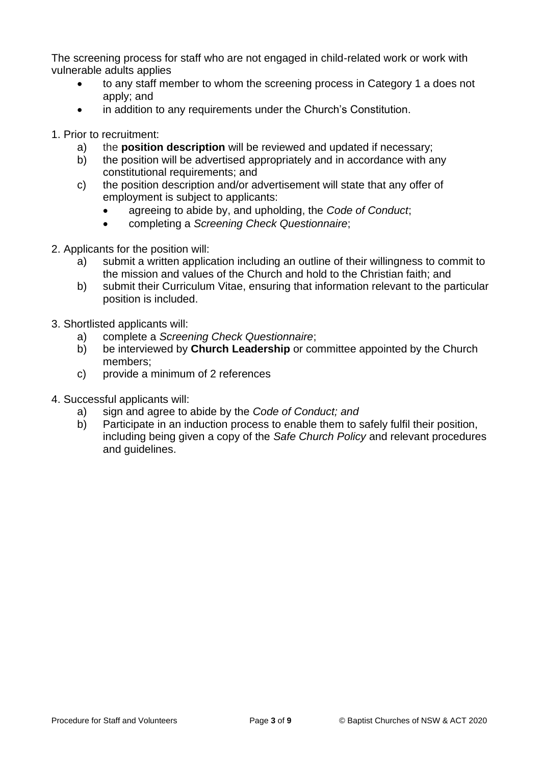The screening process for staff who are not engaged in child-related work or work with vulnerable adults applies

- to any staff member to whom the screening process in Category 1 a does not apply; and
- in addition to any requirements under the Church's Constitution.
- 1. Prior to recruitment:
	- a) the **position description** will be reviewed and updated if necessary;
	- b) the position will be advertised appropriately and in accordance with any constitutional requirements; and
	- c) the position description and/or advertisement will state that any offer of employment is subject to applicants:
		- agreeing to abide by, and upholding, the *Code of Conduct*;
		- completing a *Screening Check Questionnaire*;
- 2. Applicants for the position will:
	- a) submit a written application including an outline of their willingness to commit to the mission and values of the Church and hold to the Christian faith; and
	- b) submit their Curriculum Vitae, ensuring that information relevant to the particular position is included.
- 3. Shortlisted applicants will:
	- a) complete a *Screening Check Questionnaire*;
	- b) be interviewed by **Church Leadership** or committee appointed by the Church members;
	- c) provide a minimum of 2 references
- 4. Successful applicants will:
	- a) sign and agree to abide by the *Code of Conduct; and*
	- b) Participate in an induction process to enable them to safely fulfil their position, including being given a copy of the *Safe Church Policy* and relevant procedures and guidelines.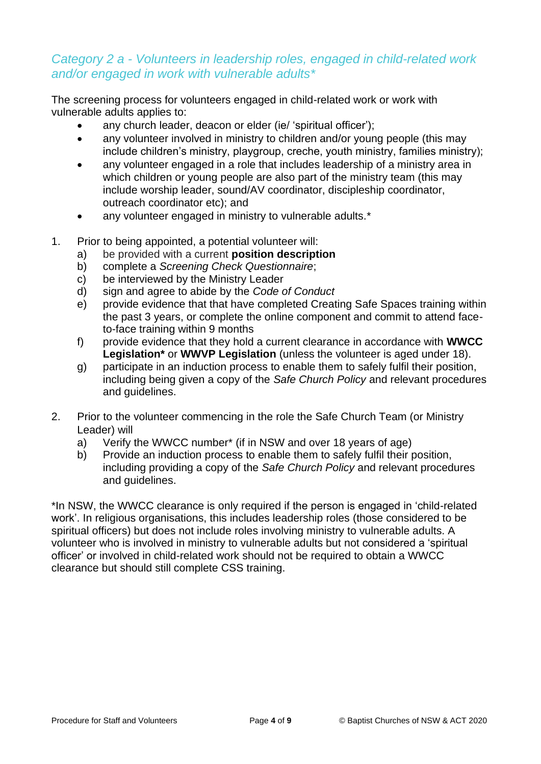## *Category 2 a - Volunteers in leadership roles, engaged in child-related work and/or engaged in work with vulnerable adults\**

The screening process for volunteers engaged in child-related work or work with vulnerable adults applies to:

- any church leader, deacon or elder (ie/ 'spiritual officer');
- any volunteer involved in ministry to children and/or young people (this may include children's ministry, playgroup, creche, youth ministry, families ministry);
- any volunteer engaged in a role that includes leadership of a ministry area in which children or young people are also part of the ministry team (this may include worship leader, sound/AV coordinator, discipleship coordinator, outreach coordinator etc); and
- any volunteer engaged in ministry to vulnerable adults.<sup>\*</sup>
- 1. Prior to being appointed, a potential volunteer will:
	- a) be provided with a current **position description**
	- b) complete a *Screening Check Questionnaire*;
	- c) be interviewed by the Ministry Leader
	- d) sign and agree to abide by the *Code of Conduct*
	- e) provide evidence that that have completed Creating Safe Spaces training within the past 3 years, or complete the online component and commit to attend faceto-face training within 9 months
	- f) provide evidence that they hold a current clearance in accordance with **WWCC Legislation\*** or **WWVP Legislation** (unless the volunteer is aged under 18).
	- g) participate in an induction process to enable them to safely fulfil their position, including being given a copy of the *Safe Church Policy* and relevant procedures and guidelines.
- 2. Prior to the volunteer commencing in the role the Safe Church Team (or Ministry Leader) will
	- a) Verify the WWCC number\* (if in NSW and over 18 years of age)
	- b) Provide an induction process to enable them to safely fulfil their position, including providing a copy of the *Safe Church Policy* and relevant procedures and guidelines.

\*In NSW, the WWCC clearance is only required if the person is engaged in 'child-related work'. In religious organisations, this includes leadership roles (those considered to be spiritual officers) but does not include roles involving ministry to vulnerable adults. A volunteer who is involved in ministry to vulnerable adults but not considered a 'spiritual officer' or involved in child-related work should not be required to obtain a WWCC clearance but should still complete CSS training.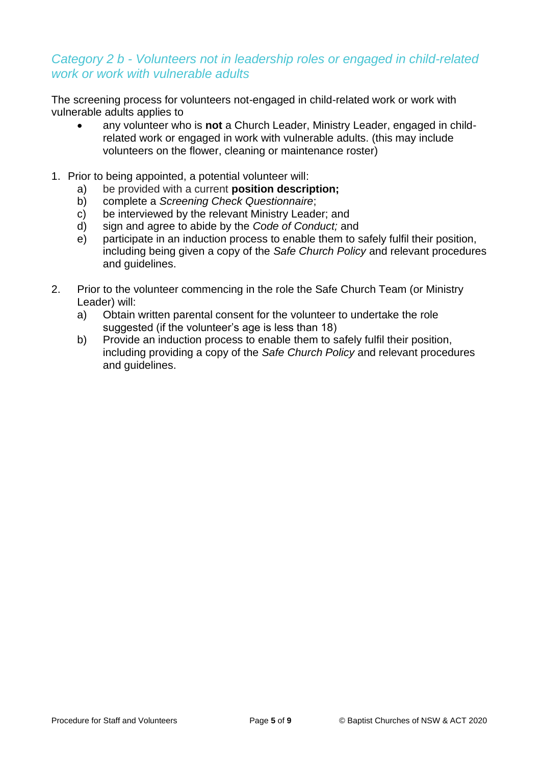## *Category 2 b - Volunteers not in leadership roles or engaged in child-related work or work with vulnerable adults*

The screening process for volunteers not-engaged in child-related work or work with vulnerable adults applies to

- any volunteer who is **not** a Church Leader, Ministry Leader, engaged in childrelated work or engaged in work with vulnerable adults. (this may include volunteers on the flower, cleaning or maintenance roster)
- 1. Prior to being appointed, a potential volunteer will:
	- a) be provided with a current **position description;**
	- b) complete a *Screening Check Questionnaire*;
	- c) be interviewed by the relevant Ministry Leader; and
	- d) sign and agree to abide by the *Code of Conduct;* and
	- e) participate in an induction process to enable them to safely fulfil their position, including being given a copy of the *Safe Church Policy* and relevant procedures and guidelines.
- 2. Prior to the volunteer commencing in the role the Safe Church Team (or Ministry Leader) will:
	- a) Obtain written parental consent for the volunteer to undertake the role suggested (if the volunteer's age is less than 18)
	- b) Provide an induction process to enable them to safely fulfil their position, including providing a copy of the *Safe Church Policy* and relevant procedures and guidelines.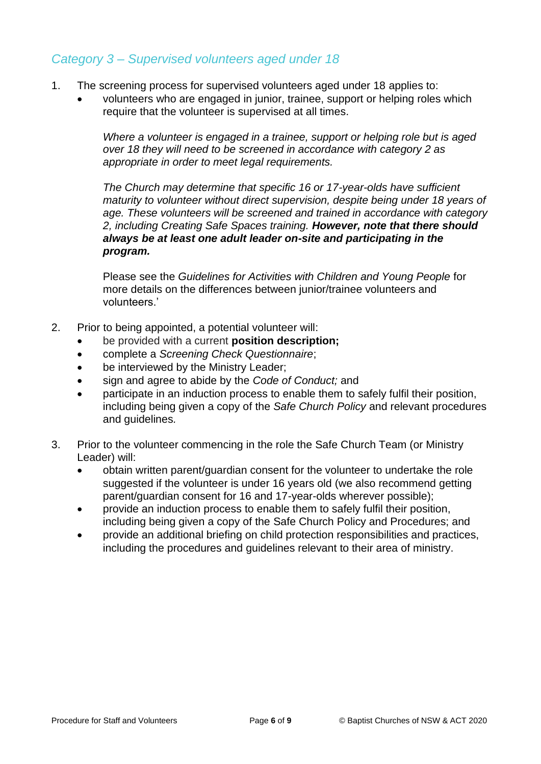## *Category 3 – Supervised volunteers aged under 18*

- 1. The screening process for supervised volunteers aged under 18 applies to:
	- volunteers who are engaged in junior, trainee, support or helping roles which require that the volunteer is supervised at all times.

*Where a volunteer is engaged in a trainee, support or helping role but is aged over 18 they will need to be screened in accordance with category 2 as appropriate in order to meet legal requirements.*

*The Church may determine that specific 16 or 17-year-olds have sufficient maturity to volunteer without direct supervision, despite being under 18 years of age. These volunteers will be screened and trained in accordance with category 2, including Creating Safe Spaces training. However, note that there should always be at least one adult leader on-site and participating in the program.*

Please see the *Guidelines for Activities with Children and Young People* for more details on the differences between junior/trainee volunteers and volunteers.'

- 2. Prior to being appointed, a potential volunteer will:
	- be provided with a current **position description;**
	- complete a *Screening Check Questionnaire*;
	- be interviewed by the Ministry Leader;
	- sign and agree to abide by the *Code of Conduct;* and
	- participate in an induction process to enable them to safely fulfil their position, including being given a copy of the *Safe Church Policy* and relevant procedures and guidelines*.*
- 3. Prior to the volunteer commencing in the role the Safe Church Team (or Ministry Leader) will:
	- obtain written parent/guardian consent for the volunteer to undertake the role suggested if the volunteer is under 16 years old (we also recommend getting parent/guardian consent for 16 and 17-year-olds wherever possible);
	- provide an induction process to enable them to safely fulfil their position, including being given a copy of the Safe Church Policy and Procedures; and
	- provide an additional briefing on child protection responsibilities and practices, including the procedures and guidelines relevant to their area of ministry.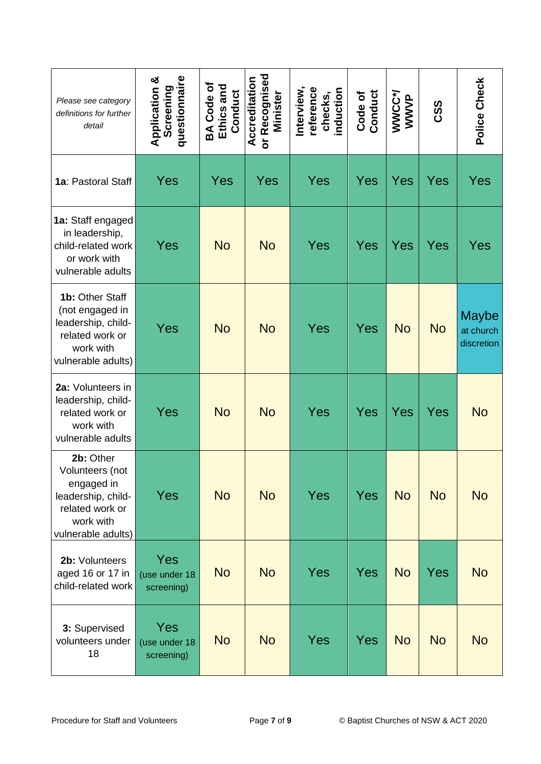| Please see category<br>definitions for further<br>detail                                                               | questionnaire<br><b>Application &amp;</b><br>Screening | <b>BA Code of</b><br>Ethics and<br>Conduct | or Recognised<br>Accreditation<br><b>Minister</b> | reference<br>nterview,<br>induction<br>checks, | Code of<br>Conduct | WWCC*/<br>WWVP | <b>CSS</b> | Police Check                            |
|------------------------------------------------------------------------------------------------------------------------|--------------------------------------------------------|--------------------------------------------|---------------------------------------------------|------------------------------------------------|--------------------|----------------|------------|-----------------------------------------|
| 1a: Pastoral Staff                                                                                                     | Yes                                                    | Yes                                        | Yes                                               | Yes                                            | Yes                | Yes            | Yes        | Yes                                     |
| 1a: Staff engaged<br>in leadership,<br>child-related work<br>or work with<br>vulnerable adults                         | Yes                                                    | <b>No</b>                                  | <b>No</b>                                         | Yes                                            | Yes                | <b>Yes</b>     | <b>Yes</b> | Yes                                     |
| 1b: Other Staff<br>(not engaged in<br>leadership, child-<br>related work or<br>work with<br>vulnerable adults)         | Yes                                                    | <b>No</b>                                  | <b>No</b>                                         | Yes                                            | Yes                | <b>No</b>      | <b>No</b>  | <b>Maybe</b><br>at church<br>discretion |
| 2a: Volunteers in<br>leadership, child-<br>related work or<br>work with<br>vulnerable adults                           | Yes                                                    | <b>No</b>                                  | <b>No</b>                                         | Yes                                            | Yes                | Yes            | Yes        | <b>No</b>                               |
| 2b: Other<br>Volunteers (not<br>engaged in<br>leadership, child-<br>related work or<br>work with<br>vulnerable adults) | Yes                                                    | <b>No</b>                                  | <b>No</b>                                         | Yes                                            | <b>Yes</b>         | <b>No</b>      | <b>No</b>  | <b>No</b>                               |
| 2b: Volunteers<br>aged 16 or 17 in<br>child-related work                                                               | Yes<br>(use under 18<br>screening)                     | <b>No</b>                                  | <b>No</b>                                         | Yes                                            | Yes                | <b>No</b>      | Yes        | <b>No</b>                               |
| 3: Supervised<br>volunteers under<br>18                                                                                | Yes<br>(use under 18<br>screening)                     | <b>No</b>                                  | <b>No</b>                                         | Yes                                            | Yes                | <b>No</b>      | <b>No</b>  | <b>No</b>                               |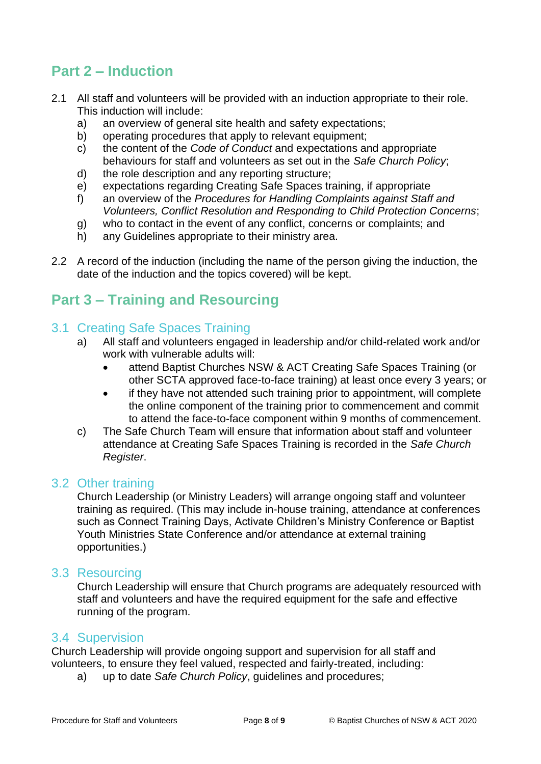## **Part 2 – Induction**

- 2.1 All staff and volunteers will be provided with an induction appropriate to their role. This induction will include:
	- a) an overview of general site health and safety expectations;
	- b) operating procedures that apply to relevant equipment:
	- c) the content of the *Code of Conduct* and expectations and appropriate behaviours for staff and volunteers as set out in the *Safe Church Policy*;
	- d) the role description and any reporting structure;
	- e) expectations regarding Creating Safe Spaces training, if appropriate
	- f) an overview of the *Procedures for Handling Complaints against Staff and Volunteers, Conflict Resolution and Responding to Child Protection Concerns*;
	- g) who to contact in the event of any conflict, concerns or complaints; and
	- h) any Guidelines appropriate to their ministry area.
- 2.2 A record of the induction (including the name of the person giving the induction, the date of the induction and the topics covered) will be kept.

## **Part 3 – Training and Resourcing**

## 3.1 Creating Safe Spaces Training

- a) All staff and volunteers engaged in leadership and/or child-related work and/or work with vulnerable adults will:
	- attend Baptist Churches NSW & ACT Creating Safe Spaces Training (or other SCTA approved face-to-face training) at least once every 3 years; or
	- if they have not attended such training prior to appointment, will complete the online component of the training prior to commencement and commit to attend the face-to-face component within 9 months of commencement.
- c) The Safe Church Team will ensure that information about staff and volunteer attendance at Creating Safe Spaces Training is recorded in the *Safe Church Register*.

### 3.2 Other training

Church Leadership (or Ministry Leaders) will arrange ongoing staff and volunteer training as required. (This may include in-house training, attendance at conferences such as Connect Training Days, Activate Children's Ministry Conference or Baptist Youth Ministries State Conference and/or attendance at external training opportunities.)

### 3.3 Resourcing

Church Leadership will ensure that Church programs are adequately resourced with staff and volunteers and have the required equipment for the safe and effective running of the program.

#### 3.4 Supervision

Church Leadership will provide ongoing support and supervision for all staff and volunteers, to ensure they feel valued, respected and fairly-treated, including:

a) up to date *Safe Church Policy*, guidelines and procedures;